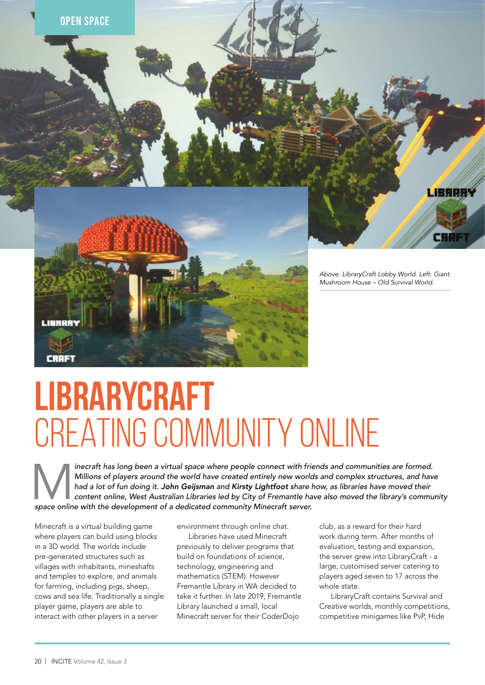

rage

## **LIBRARYCRAFT** CREATING COMMUNITY ONLINE

inecraft has long been a virtual space where people connect with friends and communities are formed. *Millions of players around the world have created entirely new worlds and complex structures, and have had a lot of fun doing it. John Geijsman and Kirsty Lightfoot share how, as libraries have moved their content online, West Australian Libraries led by City of Fremantle have also moved the library's community space online with the development of a dedicated community Minecraft server.*

Minecraft is a virtual building game where players can build using blocks in a 3D world. The worlds include pre-generated structures such as villages with inhabitants, mineshafts and temples to explore, and animals for farming, including pigs, sheep, cows and sea life. Traditionally a single player game, players are able to interact with other players in a server

environment through online chat.

Libraries have used Minecraft previously to deliver programs that build on foundations of science, technology, engineering and mathematics (STEM). However Fremantle Library in WA decided to take it further. In late 2019, Fremantle Library launched a small, local Minecraft server for their CoderDojo

club, as a reward for their hard work during term. After months of evaluation, testing and expansion, the server grew into LibraryCraft - a large, customised server catering to players aged seven to 17 across the whole state.

LibraryCraft contains Survival and Creative worlds, monthly competitions, competitive minigames like PvP, Hide